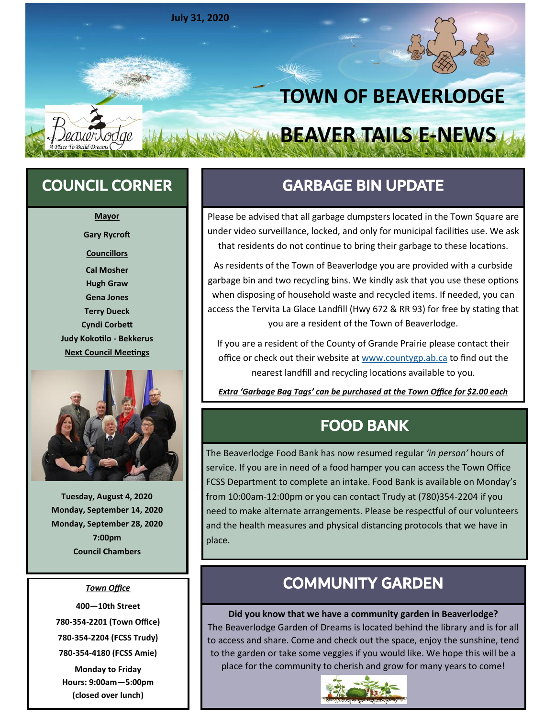

**Mayor Gary Rycroft Councillors Cal Mosher Hugh Graw Gena Jones Terry Dueck Cyndi Corbett Judy Kokotilo - Bekkerus Next Council Meetings**



**Tuesday, August 4, 2020 Monday, September 14, 2020 Monday, September 28, 2020 7:00pm Council Chambers**

### *Town Office*

**—10th Street -354-2201 (Town Office) -354-2204 (FCSS Trudy) -354-4180 (FCSS Amie)**

**Monday to Friday Hours: 9:00am—5:00pm (closed over lunch)**

## COUNCIL CORNER GARBAGE BIN UPDATE

Please be advised that all garbage dumpsters located in the Town Square are under video surveillance, locked, and only for municipal facilities use. We ask that residents do not continue to bring their garbage to these locations.

As residents of the Town of Beaverlodge you are provided with a curbside garbage bin and two recycling bins. We kindly ask that you use these options when disposing of household waste and recycled items. If needed, you can access the Tervita La Glace Landfill (Hwy 672 & RR 93) for free by stating that you are a resident of the Town of Beaverlodge.

If you are a resident of the County of Grande Prairie please contact their office or check out their website at [www.countygp.ab.ca](http://www.countygp.ab.ca) to find out the nearest landfill and recycling locations available to you.

*Extra 'Garbage Bag Tags' can be purchased at the Town Office for \$2.00 each*

### FOOD BANK

The Beaverlodge Food Bank has now resumed regular *'in person'* hours of service. If you are in need of a food hamper you can access the Town Office FCSS Department to complete an intake. Food Bank is available on Monday's from 10:00am-12:00pm or you can contact Trudy at (780)354-2204 if you need to make alternate arrangements. Please be respectful of our volunteers and the health measures and physical distancing protocols that we have in place.

### COMMUNITY GARDEN

**Did you know that we have a community garden in Beaverlodge?**  The Beaverlodge Garden of Dreams is located behind the library and is for all to access and share. Come and check out the space, enjoy the sunshine, tend to the garden or take some veggies if you would like. We hope this will be a place for the community to cherish and grow for many years to come!